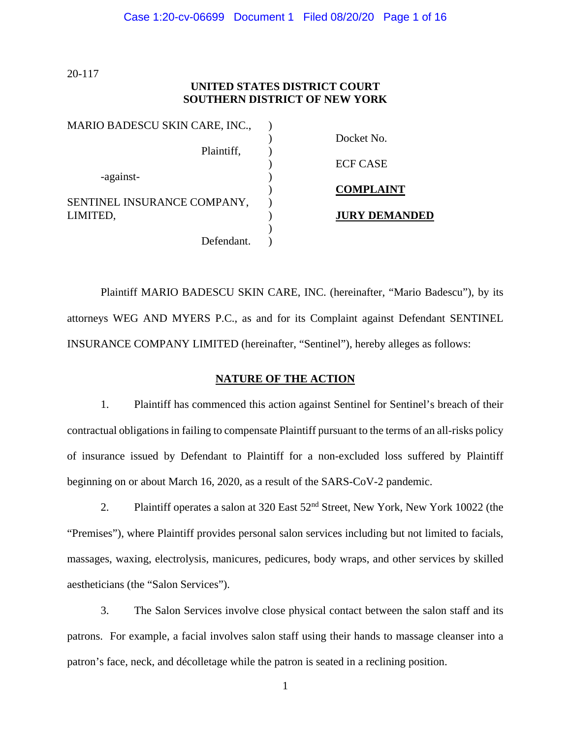20-117

# **UNITED STATES DISTRICT COURT SOUTHERN DISTRICT OF NEW YORK**

| MARIO BADESCU SKIN CARE, INC., |                      |
|--------------------------------|----------------------|
|                                | Docket No.           |
| Plaintiff,                     |                      |
|                                | <b>ECF CASE</b>      |
| -against-                      |                      |
|                                | <b>COMPLAINT</b>     |
| SENTINEL INSURANCE COMPANY,    |                      |
| LIMITED,                       | <b>JURY DEMANDED</b> |
|                                |                      |
| Defendant.                     |                      |
|                                |                      |

Plaintiff MARIO BADESCU SKIN CARE, INC. (hereinafter, "Mario Badescu"), by its attorneys WEG AND MYERS P.C., as and for its Complaint against Defendant SENTINEL INSURANCE COMPANY LIMITED (hereinafter, "Sentinel"), hereby alleges as follows:

## **NATURE OF THE ACTION**

1. Plaintiff has commenced this action against Sentinel for Sentinel's breach of their contractual obligations in failing to compensate Plaintiff pursuant to the terms of an all-risks policy of insurance issued by Defendant to Plaintiff for a non-excluded loss suffered by Plaintiff beginning on or about March 16, 2020, as a result of the SARS-CoV-2 pandemic.

2. Plaintiff operates a salon at 320 East 52<sup>nd</sup> Street, New York, New York 10022 (the "Premises"), where Plaintiff provides personal salon services including but not limited to facials, massages, waxing, electrolysis, manicures, pedicures, body wraps, and other services by skilled aestheticians (the "Salon Services").

3. The Salon Services involve close physical contact between the salon staff and its patrons. For example, a facial involves salon staff using their hands to massage cleanser into a patron's face, neck, and décolletage while the patron is seated in a reclining position.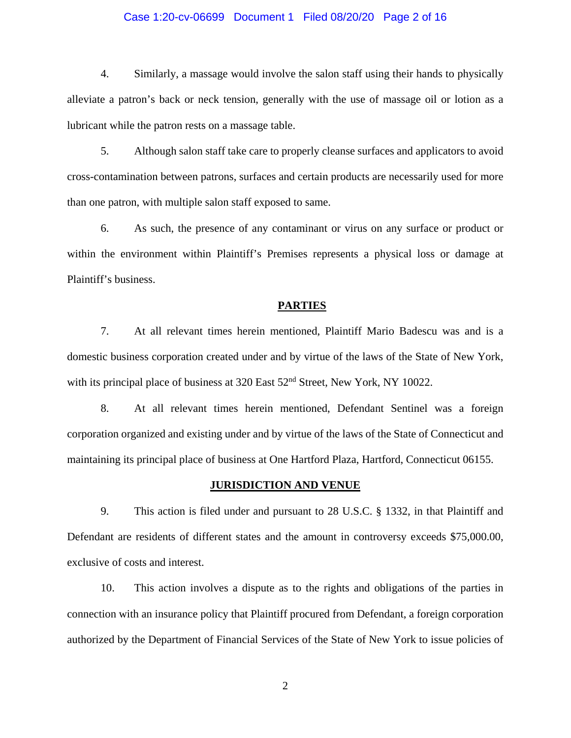### Case 1:20-cv-06699 Document 1 Filed 08/20/20 Page 2 of 16

4. Similarly, a massage would involve the salon staff using their hands to physically alleviate a patron's back or neck tension, generally with the use of massage oil or lotion as a lubricant while the patron rests on a massage table.

5. Although salon staff take care to properly cleanse surfaces and applicators to avoid cross-contamination between patrons, surfaces and certain products are necessarily used for more than one patron, with multiple salon staff exposed to same.

6. As such, the presence of any contaminant or virus on any surface or product or within the environment within Plaintiff's Premises represents a physical loss or damage at Plaintiff's business.

#### **PARTIES**

7. At all relevant times herein mentioned, Plaintiff Mario Badescu was and is a domestic business corporation created under and by virtue of the laws of the State of New York, with its principal place of business at 320 East 52<sup>nd</sup> Street, New York, NY 10022.

8. At all relevant times herein mentioned, Defendant Sentinel was a foreign corporation organized and existing under and by virtue of the laws of the State of Connecticut and maintaining its principal place of business at One Hartford Plaza, Hartford, Connecticut 06155.

#### **JURISDICTION AND VENUE**

9. This action is filed under and pursuant to 28 U.S.C. § 1332, in that Plaintiff and Defendant are residents of different states and the amount in controversy exceeds \$75,000.00, exclusive of costs and interest.

10. This action involves a dispute as to the rights and obligations of the parties in connection with an insurance policy that Plaintiff procured from Defendant, a foreign corporation authorized by the Department of Financial Services of the State of New York to issue policies of

2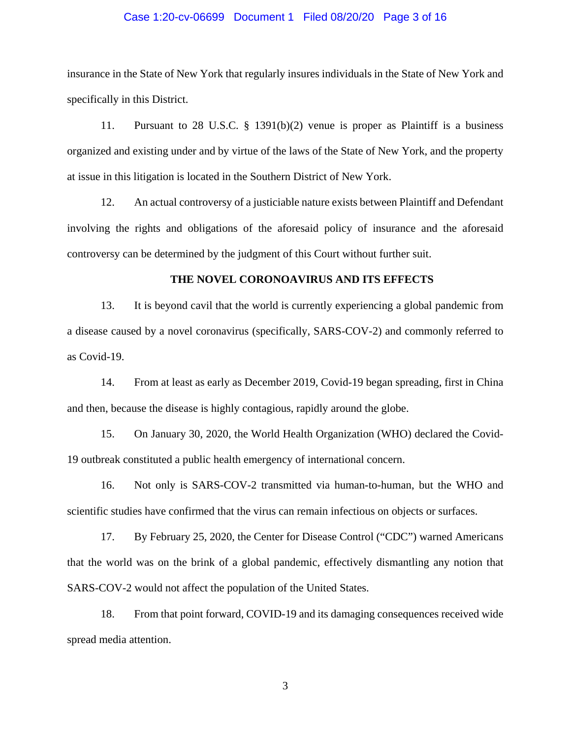#### Case 1:20-cv-06699 Document 1 Filed 08/20/20 Page 3 of 16

insurance in the State of New York that regularly insures individuals in the State of New York and specifically in this District.

11. Pursuant to 28 U.S.C. § 1391(b)(2) venue is proper as Plaintiff is a business organized and existing under and by virtue of the laws of the State of New York, and the property at issue in this litigation is located in the Southern District of New York.

12. An actual controversy of a justiciable nature exists between Plaintiff and Defendant involving the rights and obligations of the aforesaid policy of insurance and the aforesaid controversy can be determined by the judgment of this Court without further suit.

### **THE NOVEL CORONOAVIRUS AND ITS EFFECTS**

13. It is beyond cavil that the world is currently experiencing a global pandemic from a disease caused by a novel coronavirus (specifically, SARS-COV-2) and commonly referred to as Covid-19.

14. From at least as early as December 2019, Covid-19 began spreading, first in China and then, because the disease is highly contagious, rapidly around the globe.

15. On January 30, 2020, the World Health Organization (WHO) declared the Covid-19 outbreak constituted a public health emergency of international concern.

16. Not only is SARS-COV-2 transmitted via human-to-human, but the WHO and scientific studies have confirmed that the virus can remain infectious on objects or surfaces.

17. By February 25, 2020, the Center for Disease Control ("CDC") warned Americans that the world was on the brink of a global pandemic, effectively dismantling any notion that SARS-COV-2 would not affect the population of the United States.

18. From that point forward, COVID-19 and its damaging consequences received wide spread media attention.

3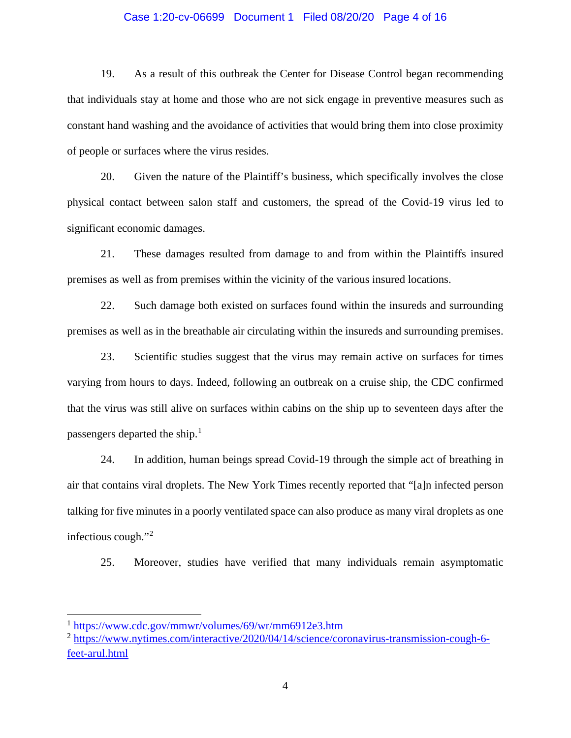### Case 1:20-cv-06699 Document 1 Filed 08/20/20 Page 4 of 16

19. As a result of this outbreak the Center for Disease Control began recommending that individuals stay at home and those who are not sick engage in preventive measures such as constant hand washing and the avoidance of activities that would bring them into close proximity of people or surfaces where the virus resides.

20. Given the nature of the Plaintiff's business, which specifically involves the close physical contact between salon staff and customers, the spread of the Covid-19 virus led to significant economic damages.

21. These damages resulted from damage to and from within the Plaintiffs insured premises as well as from premises within the vicinity of the various insured locations.

22. Such damage both existed on surfaces found within the insureds and surrounding premises as well as in the breathable air circulating within the insureds and surrounding premises.

23. Scientific studies suggest that the virus may remain active on surfaces for times varying from hours to days. Indeed, following an outbreak on a cruise ship, the CDC confirmed that the virus was still alive on surfaces within cabins on the ship up to seventeen days after the passengers departed the ship. $<sup>1</sup>$  $<sup>1</sup>$  $<sup>1</sup>$ </sup>

24. In addition, human beings spread Covid-19 through the simple act of breathing in air that contains viral droplets. The New York Times recently reported that "[a]n infected person talking for five minutes in a poorly ventilated space can also produce as many viral droplets as one infectious cough."[2](#page-3-1)

25. Moreover, studies have verified that many individuals remain asymptomatic

 $\overline{a}$ 

<span id="page-3-0"></span><sup>1</sup> <https://www.cdc.gov/mmwr/volumes/69/wr/mm6912e3.htm>

<span id="page-3-1"></span><sup>2</sup> [https://www.nytimes.com/interactive/2020/04/14/science/coronavirus-transmission-cough-6](https://www.nytimes.com/interactive/2020/04/14/science/coronavirus-transmission-cough-6-feet-arul.html) [feet-arul.html](https://www.nytimes.com/interactive/2020/04/14/science/coronavirus-transmission-cough-6-feet-arul.html)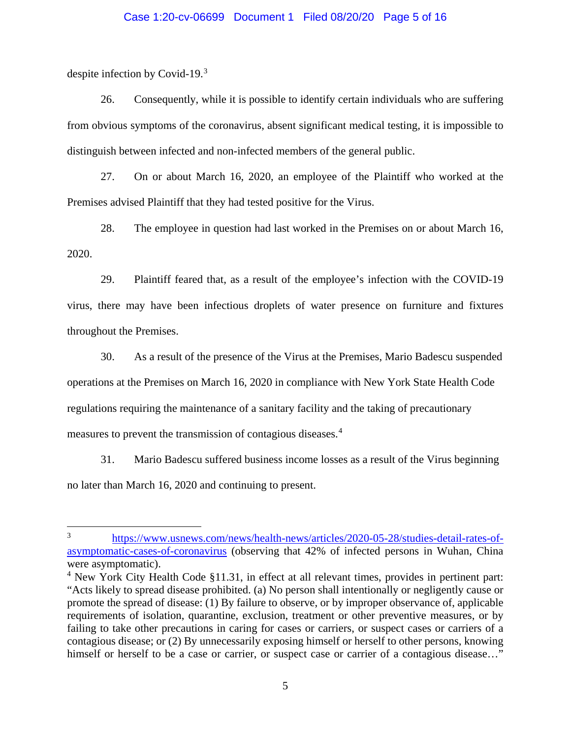### Case 1:20-cv-06699 Document 1 Filed 08/20/20 Page 5 of 16

despite infection by Covid-19.[3](#page-4-0)

 $\overline{\phantom{a}}$ 

26. Consequently, while it is possible to identify certain individuals who are suffering from obvious symptoms of the coronavirus, absent significant medical testing, it is impossible to distinguish between infected and non-infected members of the general public.

27. On or about March 16, 2020, an employee of the Plaintiff who worked at the Premises advised Plaintiff that they had tested positive for the Virus.

28. The employee in question had last worked in the Premises on or about March 16, 2020.

29. Plaintiff feared that, as a result of the employee's infection with the COVID-19 virus, there may have been infectious droplets of water presence on furniture and fixtures throughout the Premises.

30. As a result of the presence of the Virus at the Premises, Mario Badescu suspended operations at the Premises on March 16, 2020 in compliance with New York State Health Code regulations requiring the maintenance of a sanitary facility and the taking of precautionary measures to prevent the transmission of contagious diseases.<sup>[4](#page-4-1)</sup>

31. Mario Badescu suffered business income losses as a result of the Virus beginning no later than March 16, 2020 and continuing to present.

<span id="page-4-0"></span><sup>3</sup> [https://www.usnews.com/news/health-news/articles/2020-05-28/studies-detail-rates-of](https://www.usnews.com/news/health-news/articles/2020-05-28/studies-detail-rates-of-asymptomatic-cases-of-coronavirus)[asymptomatic-cases-of-coronavirus](https://www.usnews.com/news/health-news/articles/2020-05-28/studies-detail-rates-of-asymptomatic-cases-of-coronavirus) (observing that 42% of infected persons in Wuhan, China were asymptomatic).

<span id="page-4-1"></span><sup>4</sup> New York City Health Code §11.31, in effect at all relevant times, provides in pertinent part: "Acts likely to spread disease prohibited. (a) No person shall intentionally or negligently cause or promote the spread of disease: (1) By failure to observe, or by improper observance of, applicable requirements of isolation, quarantine, exclusion, treatment or other preventive measures, or by failing to take other precautions in caring for cases or carriers, or suspect cases or carriers of a contagious disease; or (2) By unnecessarily exposing himself or herself to other persons, knowing himself or herself to be a case or carrier, or suspect case or carrier of a contagious disease..."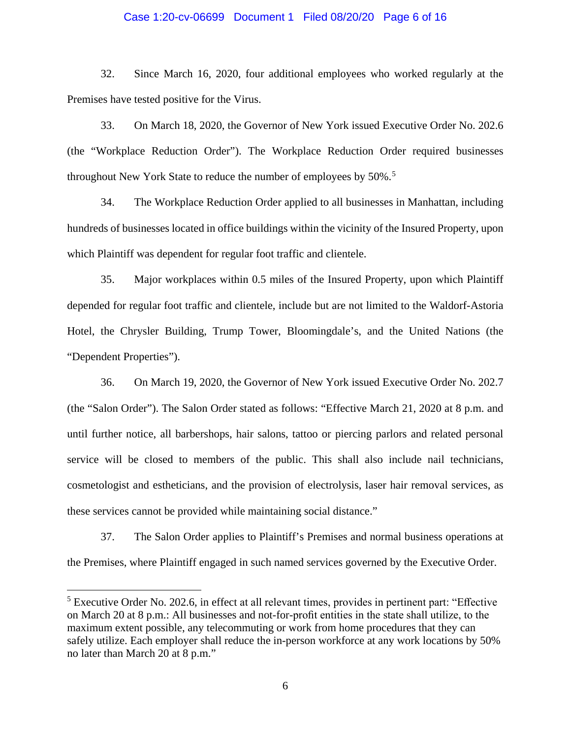#### Case 1:20-cv-06699 Document 1 Filed 08/20/20 Page 6 of 16

32. Since March 16, 2020, four additional employees who worked regularly at the Premises have tested positive for the Virus.

33. On March 18, 2020, the Governor of New York issued Executive Order No. 202.6 (the "Workplace Reduction Order"). The Workplace Reduction Order required businesses throughout New York State to reduce the number of employees by [5](#page-5-0)0%.<sup>5</sup>

34. The Workplace Reduction Order applied to all businesses in Manhattan, including hundreds of businesses located in office buildings within the vicinity of the Insured Property, upon which Plaintiff was dependent for regular foot traffic and clientele.

35. Major workplaces within 0.5 miles of the Insured Property, upon which Plaintiff depended for regular foot traffic and clientele, include but are not limited to the Waldorf-Astoria Hotel, the Chrysler Building, Trump Tower, Bloomingdale's, and the United Nations (the "Dependent Properties").

36. On March 19, 2020, the Governor of New York issued Executive Order No. 202.7 (the "Salon Order"). The Salon Order stated as follows: "Effective March 21, 2020 at 8 p.m. and until further notice, all barbershops, hair salons, tattoo or piercing parlors and related personal service will be closed to members of the public. This shall also include nail technicians, cosmetologist and estheticians, and the provision of electrolysis, laser hair removal services, as these services cannot be provided while maintaining social distance."

37. The Salon Order applies to Plaintiff's Premises and normal business operations at the Premises, where Plaintiff engaged in such named services governed by the Executive Order.

 $\overline{\phantom{a}}$ 

<span id="page-5-0"></span><sup>5</sup> Executive Order No. 202.6, in effect at all relevant times, provides in pertinent part: "Effective on March 20 at 8 p.m.: All businesses and not-for-profit entities in the state shall utilize, to the maximum extent possible, any telecommuting or work from home procedures that they can safely utilize. Each employer shall reduce the in-person workforce at any work locations by 50% no later than March 20 at 8 p.m."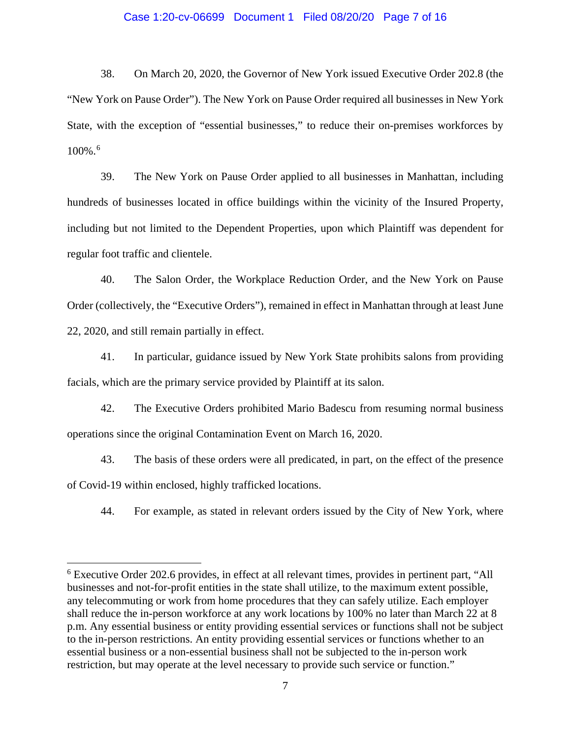#### Case 1:20-cv-06699 Document 1 Filed 08/20/20 Page 7 of 16

38. On March 20, 2020, the Governor of New York issued Executive Order 202.8 (the "New York on Pause Order"). The New York on Pause Order required all businesses in New York State, with the exception of "essential businesses," to reduce their on-premises workforces by  $100\%$ .<sup>[6](#page-6-0)</sup>

39. The New York on Pause Order applied to all businesses in Manhattan, including hundreds of businesses located in office buildings within the vicinity of the Insured Property, including but not limited to the Dependent Properties, upon which Plaintiff was dependent for regular foot traffic and clientele.

40. The Salon Order, the Workplace Reduction Order, and the New York on Pause Order (collectively, the "Executive Orders"), remained in effect in Manhattan through at least June 22, 2020, and still remain partially in effect.

41. In particular, guidance issued by New York State prohibits salons from providing facials, which are the primary service provided by Plaintiff at its salon.

42. The Executive Orders prohibited Mario Badescu from resuming normal business operations since the original Contamination Event on March 16, 2020.

43. The basis of these orders were all predicated, in part, on the effect of the presence of Covid-19 within enclosed, highly trafficked locations.

44. For example, as stated in relevant orders issued by the City of New York, where

 $\overline{\phantom{a}}$ 

<span id="page-6-0"></span><sup>6</sup> Executive Order 202.6 provides, in effect at all relevant times, provides in pertinent part, "All businesses and not-for-profit entities in the state shall utilize, to the maximum extent possible, any telecommuting or work from home procedures that they can safely utilize. Each employer shall reduce the in-person workforce at any work locations by 100% no later than March 22 at 8 p.m. Any essential business or entity providing essential services or functions shall not be subject to the in-person restrictions. An entity providing essential services or functions whether to an essential business or a non-essential business shall not be subjected to the in-person work restriction, but may operate at the level necessary to provide such service or function."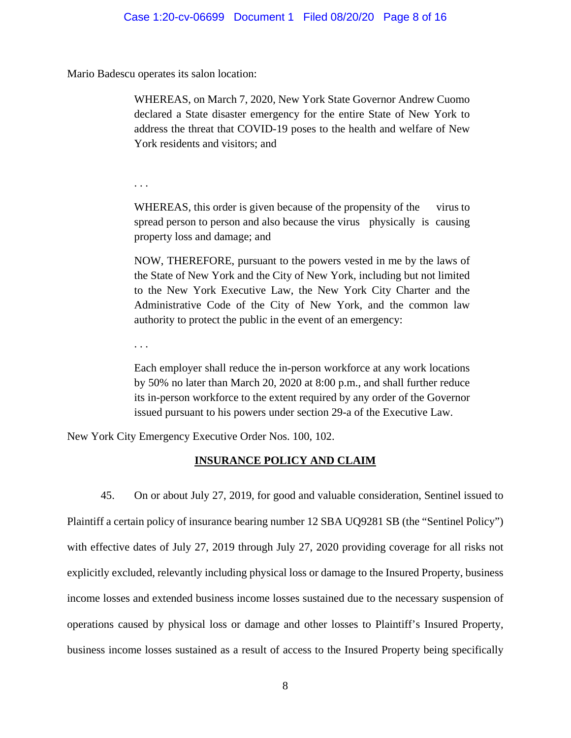Mario Badescu operates its salon location:

WHEREAS, on March 7, 2020, New York State Governor Andrew Cuomo declared a State disaster emergency for the entire State of New York to address the threat that COVID-19 poses to the health and welfare of New York residents and visitors; and

. . .

WHEREAS, this order is given because of the propensity of the virus to spread person to person and also because the virus physically is causing property loss and damage; and

NOW, THEREFORE, pursuant to the powers vested in me by the laws of the State of New York and the City of New York, including but not limited to the New York Executive Law, the New York City Charter and the Administrative Code of the City of New York, and the common law authority to protect the public in the event of an emergency:

. . .

Each employer shall reduce the in-person workforce at any work locations by 50% no later than March 20, 2020 at 8:00 p.m., and shall further reduce its in-person workforce to the extent required by any order of the Governor issued pursuant to his powers under section 29-a of the Executive Law.

New York City Emergency Executive Order Nos. 100, 102.

## **INSURANCE POLICY AND CLAIM**

45. On or about July 27, 2019, for good and valuable consideration, Sentinel issued to Plaintiff a certain policy of insurance bearing number 12 SBA UQ9281 SB (the "Sentinel Policy") with effective dates of July 27, 2019 through July 27, 2020 providing coverage for all risks not explicitly excluded, relevantly including physical loss or damage to the Insured Property, business income losses and extended business income losses sustained due to the necessary suspension of operations caused by physical loss or damage and other losses to Plaintiff's Insured Property, business income losses sustained as a result of access to the Insured Property being specifically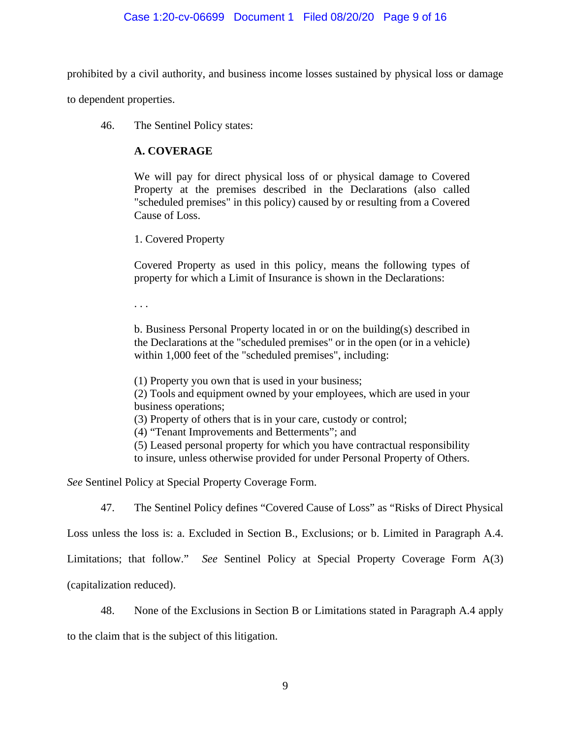### Case 1:20-cv-06699 Document 1 Filed 08/20/20 Page 9 of 16

prohibited by a civil authority, and business income losses sustained by physical loss or damage

to dependent properties.

46. The Sentinel Policy states:

### **A. COVERAGE**

We will pay for direct physical loss of or physical damage to Covered Property at the premises described in the Declarations (also called "scheduled premises" in this policy) caused by or resulting from a Covered Cause of Loss.

1. Covered Property

Covered Property as used in this policy, means the following types of property for which a Limit of Insurance is shown in the Declarations:

. . .

b. Business Personal Property located in or on the building(s) described in the Declarations at the "scheduled premises" or in the open (or in a vehicle) within 1,000 feet of the "scheduled premises", including:

(1) Property you own that is used in your business;

(2) Tools and equipment owned by your employees, which are used in your business operations;

(3) Property of others that is in your care, custody or control;

(4) "Tenant Improvements and Betterments"; and

(5) Leased personal property for which you have contractual responsibility

to insure, unless otherwise provided for under Personal Property of Others.

*See* Sentinel Policy at Special Property Coverage Form.

47. The Sentinel Policy defines "Covered Cause of Loss" as "Risks of Direct Physical

Loss unless the loss is: a. Excluded in Section B., Exclusions; or b. Limited in Paragraph A.4.

Limitations; that follow." *See* Sentinel Policy at Special Property Coverage Form A(3)

(capitalization reduced).

48. None of the Exclusions in Section B or Limitations stated in Paragraph A.4 apply

to the claim that is the subject of this litigation.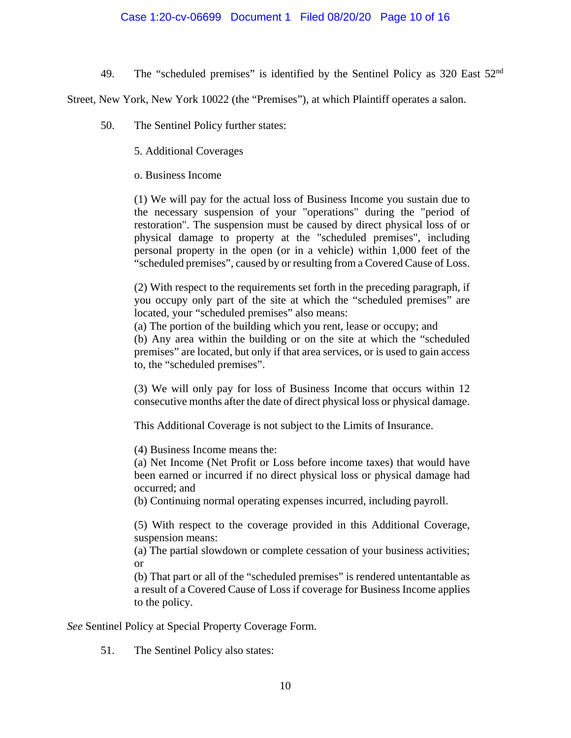### Case 1:20-cv-06699 Document 1 Filed 08/20/20 Page 10 of 16

49. The "scheduled premises" is identified by the Sentinel Policy as 320 East 52<sup>nd</sup>

Street, New York, New York 10022 (the "Premises"), at which Plaintiff operates a salon.

50. The Sentinel Policy further states:

5. Additional Coverages

o. Business Income

(1) We will pay for the actual loss of Business Income you sustain due to the necessary suspension of your "operations" during the "period of restoration". The suspension must be caused by direct physical loss of or physical damage to property at the "scheduled premises", including personal property in the open (or in a vehicle) within 1,000 feet of the "scheduled premises", caused by or resulting from a Covered Cause of Loss.

(2) With respect to the requirements set forth in the preceding paragraph, if you occupy only part of the site at which the "scheduled premises" are located, your "scheduled premises" also means:

(a) The portion of the building which you rent, lease or occupy; and

(b) Any area within the building or on the site at which the "scheduled premises" are located, but only if that area services, or is used to gain access to, the "scheduled premises".

(3) We will only pay for loss of Business Income that occurs within 12 consecutive months after the date of direct physical loss or physical damage.

This Additional Coverage is not subject to the Limits of Insurance.

(4) Business Income means the:

(a) Net Income (Net Profit or Loss before income taxes) that would have been earned or incurred if no direct physical loss or physical damage had occurred; and

(b) Continuing normal operating expenses incurred, including payroll.

(5) With respect to the coverage provided in this Additional Coverage, suspension means:

(a) The partial slowdown or complete cessation of your business activities; or

(b) That part or all of the "scheduled premises" is rendered untentantable as a result of a Covered Cause of Loss if coverage for Business Income applies to the policy.

*See* Sentinel Policy at Special Property Coverage Form.

51. The Sentinel Policy also states: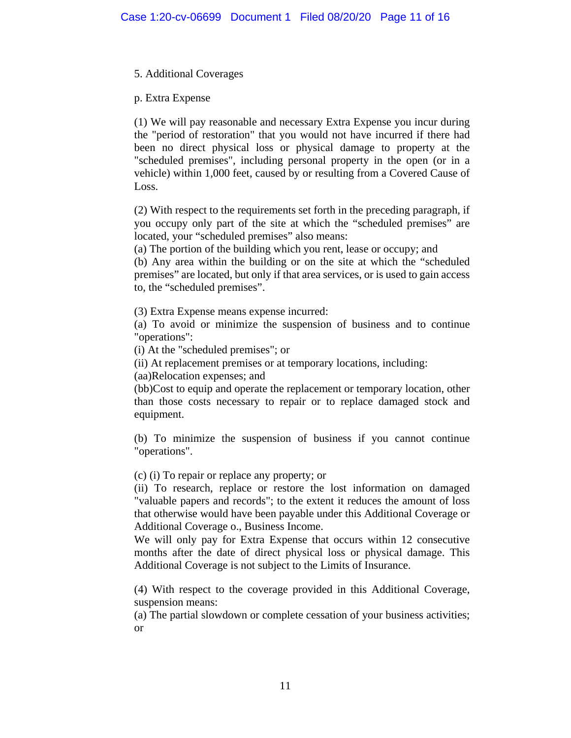# 5. Additional Coverages

# p. Extra Expense

(1) We will pay reasonable and necessary Extra Expense you incur during the "period of restoration" that you would not have incurred if there had been no direct physical loss or physical damage to property at the "scheduled premises", including personal property in the open (or in a vehicle) within 1,000 feet, caused by or resulting from a Covered Cause of Loss.

(2) With respect to the requirements set forth in the preceding paragraph, if you occupy only part of the site at which the "scheduled premises" are located, your "scheduled premises" also means:

(a) The portion of the building which you rent, lease or occupy; and

(b) Any area within the building or on the site at which the "scheduled premises" are located, but only if that area services, or is used to gain access to, the "scheduled premises".

(3) Extra Expense means expense incurred:

(a) To avoid or minimize the suspension of business and to continue "operations":

(i) At the "scheduled premises"; or

(ii) At replacement premises or at temporary locations, including:

(aa)Relocation expenses; and

(bb)Cost to equip and operate the replacement or temporary location, other than those costs necessary to repair or to replace damaged stock and equipment.

(b) To minimize the suspension of business if you cannot continue "operations".

(c) (i) To repair or replace any property; or

(ii) To research, replace or restore the lost information on damaged "valuable papers and records"; to the extent it reduces the amount of loss that otherwise would have been payable under this Additional Coverage or Additional Coverage o., Business Income.

We will only pay for Extra Expense that occurs within 12 consecutive months after the date of direct physical loss or physical damage. This Additional Coverage is not subject to the Limits of Insurance.

(4) With respect to the coverage provided in this Additional Coverage, suspension means:

(a) The partial slowdown or complete cessation of your business activities; or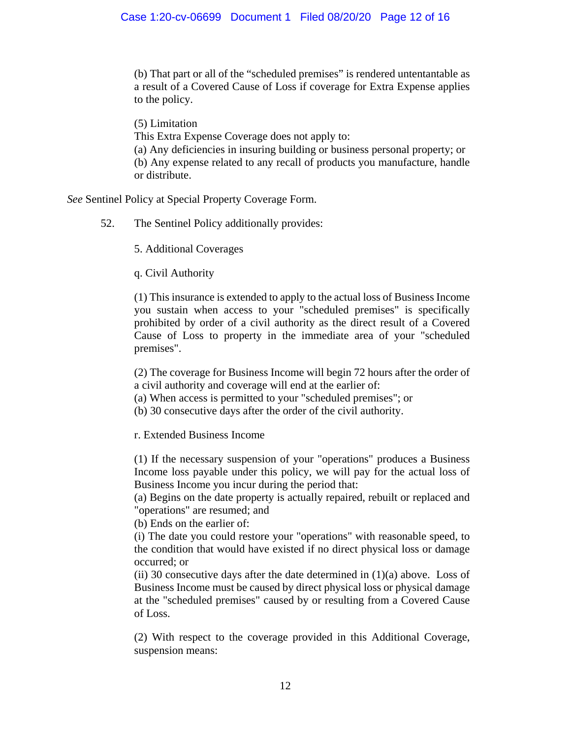(b) That part or all of the "scheduled premises" is rendered untentantable as a result of a Covered Cause of Loss if coverage for Extra Expense applies to the policy.

(5) Limitation This Extra Expense Coverage does not apply to: (a) Any deficiencies in insuring building or business personal property; or (b) Any expense related to any recall of products you manufacture, handle or distribute.

*See* Sentinel Policy at Special Property Coverage Form.

52. The Sentinel Policy additionally provides:

5. Additional Coverages

q. Civil Authority

(1) This insurance is extended to apply to the actual loss of Business Income you sustain when access to your "scheduled premises" is specifically prohibited by order of a civil authority as the direct result of a Covered Cause of Loss to property in the immediate area of your "scheduled premises".

(2) The coverage for Business Income will begin 72 hours after the order of a civil authority and coverage will end at the earlier of:

(a) When access is permitted to your "scheduled premises"; or

(b) 30 consecutive days after the order of the civil authority.

r. Extended Business Income

(1) If the necessary suspension of your "operations" produces a Business Income loss payable under this policy, we will pay for the actual loss of Business Income you incur during the period that:

(a) Begins on the date property is actually repaired, rebuilt or replaced and "operations" are resumed; and

(b) Ends on the earlier of:

(i) The date you could restore your "operations" with reasonable speed, to the condition that would have existed if no direct physical loss or damage occurred; or

(ii) 30 consecutive days after the date determined in  $(1)(a)$  above. Loss of Business Income must be caused by direct physical loss or physical damage at the "scheduled premises" caused by or resulting from a Covered Cause of Loss.

(2) With respect to the coverage provided in this Additional Coverage, suspension means: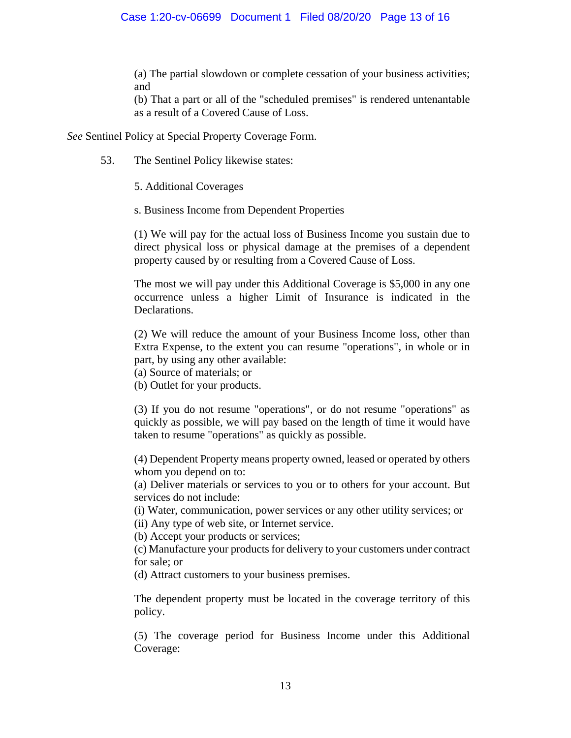(a) The partial slowdown or complete cessation of your business activities; and

(b) That a part or all of the "scheduled premises" is rendered untenantable as a result of a Covered Cause of Loss.

*See* Sentinel Policy at Special Property Coverage Form.

53. The Sentinel Policy likewise states:

5. Additional Coverages

s. Business Income from Dependent Properties

(1) We will pay for the actual loss of Business Income you sustain due to direct physical loss or physical damage at the premises of a dependent property caused by or resulting from a Covered Cause of Loss.

The most we will pay under this Additional Coverage is \$5,000 in any one occurrence unless a higher Limit of Insurance is indicated in the Declarations.

(2) We will reduce the amount of your Business Income loss, other than Extra Expense, to the extent you can resume "operations", in whole or in part, by using any other available:

(a) Source of materials; or

(b) Outlet for your products.

(3) If you do not resume "operations", or do not resume "operations" as quickly as possible, we will pay based on the length of time it would have taken to resume "operations" as quickly as possible.

(4) Dependent Property means property owned, leased or operated by others whom you depend on to:

(a) Deliver materials or services to you or to others for your account. But services do not include:

(i) Water, communication, power services or any other utility services; or

(ii) Any type of web site, or Internet service.

(b) Accept your products or services;

(c) Manufacture your products for delivery to your customers under contract for sale; or

(d) Attract customers to your business premises.

The dependent property must be located in the coverage territory of this policy.

(5) The coverage period for Business Income under this Additional Coverage: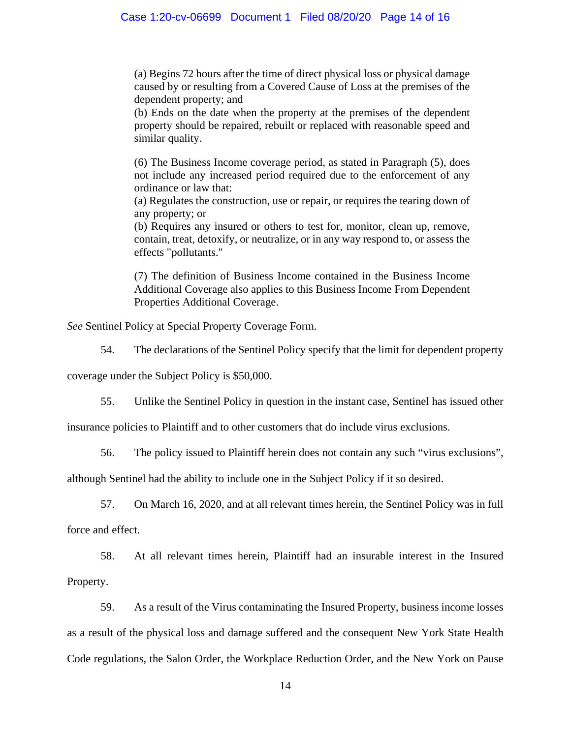(a) Begins 72 hours after the time of direct physical loss or physical damage caused by or resulting from a Covered Cause of Loss at the premises of the dependent property; and

(b) Ends on the date when the property at the premises of the dependent property should be repaired, rebuilt or replaced with reasonable speed and similar quality.

(6) The Business Income coverage period, as stated in Paragraph (5), does not include any increased period required due to the enforcement of any ordinance or law that:

(a) Regulates the construction, use or repair, or requires the tearing down of any property; or

(b) Requires any insured or others to test for, monitor, clean up, remove, contain, treat, detoxify, or neutralize, or in any way respond to, or assess the effects "pollutants."

(7) The definition of Business Income contained in the Business Income Additional Coverage also applies to this Business Income From Dependent Properties Additional Coverage.

*See* Sentinel Policy at Special Property Coverage Form.

54. The declarations of the Sentinel Policy specify that the limit for dependent property

coverage under the Subject Policy is \$50,000.

55. Unlike the Sentinel Policy in question in the instant case, Sentinel has issued other

insurance policies to Plaintiff and to other customers that do include virus exclusions.

56. The policy issued to Plaintiff herein does not contain any such "virus exclusions",

although Sentinel had the ability to include one in the Subject Policy if it so desired.

57. On March 16, 2020, and at all relevant times herein, the Sentinel Policy was in full force and effect.

58. At all relevant times herein, Plaintiff had an insurable interest in the Insured Property.

59. As a result of the Virus contaminating the Insured Property, business income losses as a result of the physical loss and damage suffered and the consequent New York State Health Code regulations, the Salon Order, the Workplace Reduction Order, and the New York on Pause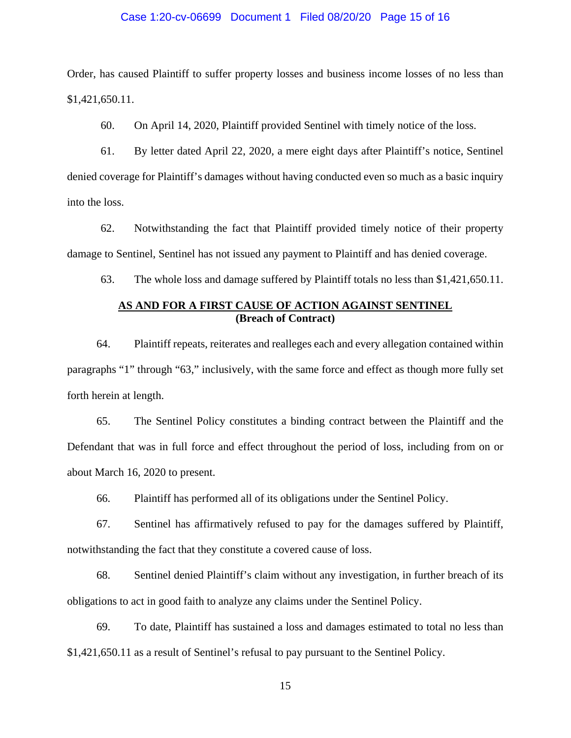#### Case 1:20-cv-06699 Document 1 Filed 08/20/20 Page 15 of 16

Order, has caused Plaintiff to suffer property losses and business income losses of no less than \$1,421,650.11.

60. On April 14, 2020, Plaintiff provided Sentinel with timely notice of the loss.

61. By letter dated April 22, 2020, a mere eight days after Plaintiff's notice, Sentinel denied coverage for Plaintiff's damages without having conducted even so much as a basic inquiry into the loss.

62. Notwithstanding the fact that Plaintiff provided timely notice of their property damage to Sentinel, Sentinel has not issued any payment to Plaintiff and has denied coverage.

63. The whole loss and damage suffered by Plaintiff totals no less than \$1,421,650.11.

## **AS AND FOR A FIRST CAUSE OF ACTION AGAINST SENTINEL (Breach of Contract)**

64. Plaintiff repeats, reiterates and realleges each and every allegation contained within paragraphs "1" through "63," inclusively, with the same force and effect as though more fully set forth herein at length.

65. The Sentinel Policy constitutes a binding contract between the Plaintiff and the Defendant that was in full force and effect throughout the period of loss, including from on or about March 16, 2020 to present.

66. Plaintiff has performed all of its obligations under the Sentinel Policy.

67. Sentinel has affirmatively refused to pay for the damages suffered by Plaintiff, notwithstanding the fact that they constitute a covered cause of loss.

68. Sentinel denied Plaintiff's claim without any investigation, in further breach of its obligations to act in good faith to analyze any claims under the Sentinel Policy.

69. To date, Plaintiff has sustained a loss and damages estimated to total no less than \$1,421,650.11 as a result of Sentinel's refusal to pay pursuant to the Sentinel Policy.

15